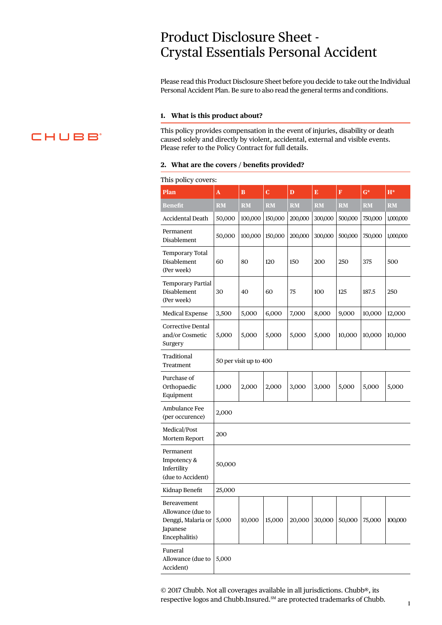# Product Disclosure Sheet - Crystal Essentials Personal Accident

Please read this Product Disclosure Sheet before you decide to take out the Individual Personal Accident Plan. Be sure to also read the general terms and conditions.

#### **1. What is this product about?**

This policy provides compensation in the event of injuries, disability or death caused solely and directly by violent, accidental, external and visible events. Please refer to the Policy Contract for full details.

#### **2. What are the covers / benefits provided?**

#### This policy covers:

| $\overline{\text{Plan}}$                                                            | A                      | $\bf{B}$  | Ċ         | D         | Ē         | F         | $\overline{G}^*$       | $H^*$     |
|-------------------------------------------------------------------------------------|------------------------|-----------|-----------|-----------|-----------|-----------|------------------------|-----------|
| Benefit                                                                             | <b>RM</b>              | <b>RM</b> | <b>RM</b> | <b>RM</b> | <b>RM</b> | <b>RM</b> | $\overline{\text{RM}}$ | <b>RM</b> |
| <b>Accidental Death</b>                                                             | 50,000                 | 100,000   | 150,000   | 200,000   | 300,000   | 500,000   | 750,000                | 1,000,000 |
| Permanent<br>Disablement                                                            | 50,000                 | 100,000   | 150,000   | 200,000   | 300,000   | 500,000   | 750,000                | 1,000,000 |
| <b>Temporary Total</b><br>Disablement<br>(Per week)                                 | 60                     | 80        | 120       | 150       | 200       | 250       | 375                    | 500       |
| <b>Temporary Partial</b><br>Disablement<br>(Per week)                               | 30                     | 40        | 60        | 75        | 100       | 125       | 187.5                  | 250       |
| <b>Medical Expense</b>                                                              | 3,500                  | 5,000     | 6,000     | 7,000     | 8,000     | 9,000     | 10,000                 | 12,000    |
| <b>Corrective Dental</b><br>and/or Cosmetic<br>Surgery                              | 5,000                  | 5,000     | 5,000     | 5,000     | 5,000     | 10,000    | 10,000                 | 10,000    |
| Traditional<br>Treatment                                                            | 50 per visit up to 400 |           |           |           |           |           |                        |           |
| Purchase of<br>Orthopaedic<br>Equipment                                             | 1,000                  | 2,000     | 2,000     | 3,000     | 3,000     | 5,000     | 5,000                  | 5,000     |
| Ambulance Fee<br>(per occurence)                                                    | 2,000                  |           |           |           |           |           |                        |           |
| Medical/Post<br>Mortem Report                                                       | 200                    |           |           |           |           |           |                        |           |
| Permanent<br>Impotency &<br>Infertility<br>(due to Accident)                        | 50,000                 |           |           |           |           |           |                        |           |
| Kidnap Benefit                                                                      | 25,000                 |           |           |           |           |           |                        |           |
| Bereavement<br>Allowance (due to<br>Denggi, Malaria or<br>Japanese<br>Encephalitis) | 5,000                  | 10,000    | 15,000    | 20,000    | 30,000    | 50,000    | 75,000                 | 100,000   |
| Funeral<br>Allowance (due to<br>Accident)                                           | 5,000                  |           |           |           |           |           |                        |           |

© 2017 Chubb. Not all coverages available in all jurisdictions. Chubb®, its respective logos and Chubb.Insured.<sup>SM</sup> are protected trademarks of Chubb.

# **CHUBB**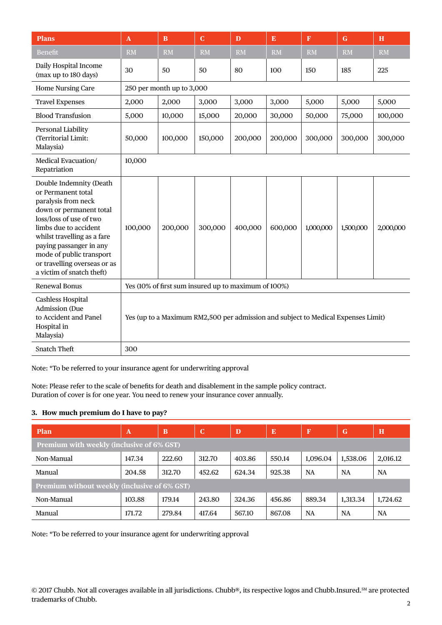| <b>Plans</b>                                                                                                                                                                                                                                                                                           | $\mathbf{A}$                                                                      | B         | $\mathbf C$ | D         | E         | $\mathbf F$ | $\mathbf G$ | H         |
|--------------------------------------------------------------------------------------------------------------------------------------------------------------------------------------------------------------------------------------------------------------------------------------------------------|-----------------------------------------------------------------------------------|-----------|-------------|-----------|-----------|-------------|-------------|-----------|
| Benefit                                                                                                                                                                                                                                                                                                | <b>RM</b>                                                                         | <b>RM</b> | <b>RM</b>   | <b>RM</b> | <b>RM</b> | <b>RM</b>   | <b>RM</b>   | <b>RM</b> |
| Daily Hospital Income<br>(max up to 180 days)                                                                                                                                                                                                                                                          | 30                                                                                | 50        | 50          | 80        | 100       | 150         | 185         | 225       |
| <b>Home Nursing Care</b>                                                                                                                                                                                                                                                                               | 250 per month up to 3,000                                                         |           |             |           |           |             |             |           |
| <b>Travel Expenses</b>                                                                                                                                                                                                                                                                                 | 2,000                                                                             | 2,000     | 3,000       | 3,000     | 3,000     | 5,000       | 5,000       | 5,000     |
| <b>Blood Transfusion</b>                                                                                                                                                                                                                                                                               | 5,000                                                                             | 10,000    | 15,000      | 20,000    | 30,000    | 50,000      | 75,000      | 100,000   |
| Personal Liability<br>(Territorial Limit:<br>Malaysia)                                                                                                                                                                                                                                                 | 50,000                                                                            | 100,000   | 150,000     | 200,000   | 200,000   | 300,000     | 300,000     | 300,000   |
| Medical Evacuation/<br>Repatriation                                                                                                                                                                                                                                                                    | 10,000                                                                            |           |             |           |           |             |             |           |
| Double Indemnity (Death<br>or Permanent total<br>paralysis from neck<br>down or permanent total<br>loss/loss of use of two<br>limbs due to accident<br>whilst travelling as a fare<br>paying passanger in any<br>mode of public transport<br>or travelling overseas or as<br>a victim of snatch theft) | 100,000                                                                           | 200,000   | 300,000     | 400,000   | 600,000   | 1,000,000   | 1,500,000   | 2,000,000 |
| Renewal Bonus                                                                                                                                                                                                                                                                                          | Yes (10% of first sum insured up to maximum of 100%)                              |           |             |           |           |             |             |           |
| Cashless Hospital<br><b>Admission</b> (Due<br>to Accident and Panel<br>Hospital in<br>Malaysia)                                                                                                                                                                                                        | Yes (up to a Maximum RM2,500 per admission and subject to Medical Expenses Limit) |           |             |           |           |             |             |           |
| <b>Snatch Theft</b>                                                                                                                                                                                                                                                                                    | 300                                                                               |           |             |           |           |             |             |           |

Note: \*To be referred to your insurance agent for underwriting approval

Note: Please refer to the scale of benefits for death and disablement in the sample policy contract. Duration of cover is for one year. You need to renew your insurance cover annually.

# **3. How much premium do I have to pay?**

| <b>Plan</b>                                      | A      | B      | $\mathbf C$ | D      | E      | F         | G        | $\bf{H}$  |
|--------------------------------------------------|--------|--------|-------------|--------|--------|-----------|----------|-----------|
| <b>Premium with weekly (inclusive of 6% GST)</b> |        |        |             |        |        |           |          |           |
| Non-Manual                                       | 147.34 | 222.60 | 312.70      | 403.86 | 550.14 | 1,096.04  | 1,538.06 | 2,016.12  |
| Manual                                           | 204.58 | 312.70 | 452.62      | 624.34 | 925.38 | <b>NA</b> | NA       | <b>NA</b> |
| Premium without weekly (inclusive of 6% GST)     |        |        |             |        |        |           |          |           |
| Non-Manual                                       | 103.88 | 179.14 | 243.80      | 324.36 | 456.86 | 889.34    | 1,313.34 | 1,724.62  |
| Manual                                           | 171.72 | 279.84 | 417.64      | 567.10 | 867.08 | <b>NA</b> | NA       | NA        |

Note: \*To be referred to your insurance agent for underwriting approval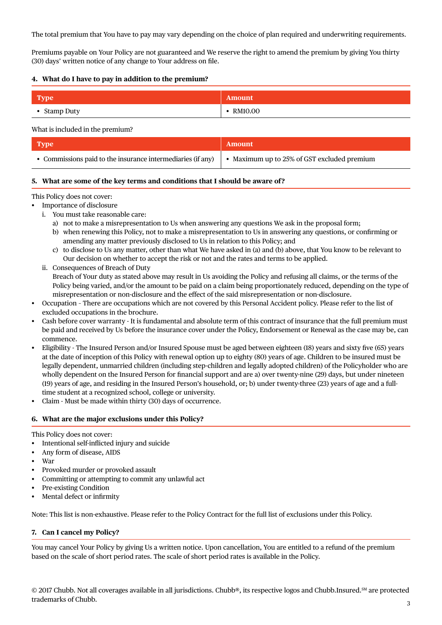The total premium that You have to pay may vary depending on the choice of plan required and underwriting requirements.

Premiums payable on Your Policy are not guaranteed and We reserve the right to amend the premium by giving You thirty (30) days' written notice of any change to Your address on file.

#### **4. What do I have to pay in addition to the premium?**

| Type         | <b>Amount</b> |
|--------------|---------------|
| • Stamp Duty | RM10.00       |

#### What is included in the premium?

| Type                                                        | <b>Amount</b>                               |
|-------------------------------------------------------------|---------------------------------------------|
| • Commissions paid to the insurance intermediaries (if any) | • Maximum up to 25% of GST excluded premium |

### **5. What are some of the key terms and conditions that I should be aware of?**

#### This Policy does not cover:

- Importance of disclosure
	- i. You must take reasonable care:
		- a) not to make a misrepresentation to Us when answering any questions We ask in the proposal form;
		- b) when renewing this Policy, not to make a misrepresentation to Us in answering any questions, or confirming or amending any matter previously disclosed to Us in relation to this Policy; and
		- c) to disclose to Us any matter, other than what We have asked in (a) and (b) above, that You know to be relevant to Our decision on whether to accept the risk or not and the rates and terms to be applied.
	- ii. Consequences of Breach of Duty Breach of Your duty as stated above may result in Us avoiding the Policy and refusing all claims, or the terms of the Policy being varied, and/or the amount to be paid on a claim being proportionately reduced, depending on the type of misrepresentation or non-disclosure and the effect of the said misrepresentation or non-disclosure.
- Occupation There are occupations which are not covered by this Personal Accident policy. Please refer to the list of excluded occupations in the brochure.
- Cash before cover warranty It is fundamental and absolute term of this contract of insurance that the full premium must be paid and received by Us before the insurance cover under the Policy, Endorsement or Renewal as the case may be, can commence.
- Eligibility The Insured Person and/or Insured Spouse must be aged between eighteen (18) years and sixty five (65) years at the date of inception of this Policy with renewal option up to eighty (80) years of age. Children to be insured must be legally dependent, unmarried children (including step-children and legally adopted children) of the Policyholder who are wholly dependent on the Insured Person for financial support and are a) over twenty-nine (29) days, but under nineteen (19) years of age, and residing in the Insured Person's household, or; b) under twenty-three (23) years of age and a fulltime student at a recognized school, college or university.
- Claim Must be made within thirty (30) days of occurrence.

# **6. What are the major exclusions under this Policy?**

This Policy does not cover:

- Intentional self-inflicted injury and suicide
- Any form of disease, AIDS
- War
- Provoked murder or provoked assault
- Committing or attempting to commit any unlawful act
- Pre-existing Condition
- Mental defect or infirmity

Note: This list is non-exhaustive. Please refer to the Policy Contract for the full list of exclusions under this Policy.

# **7. Can I cancel my Policy?**

You may cancel Your Policy by giving Us a written notice. Upon cancellation, You are entitled to a refund of the premium based on the scale of short period rates. The scale of short period rates is available in the Policy.